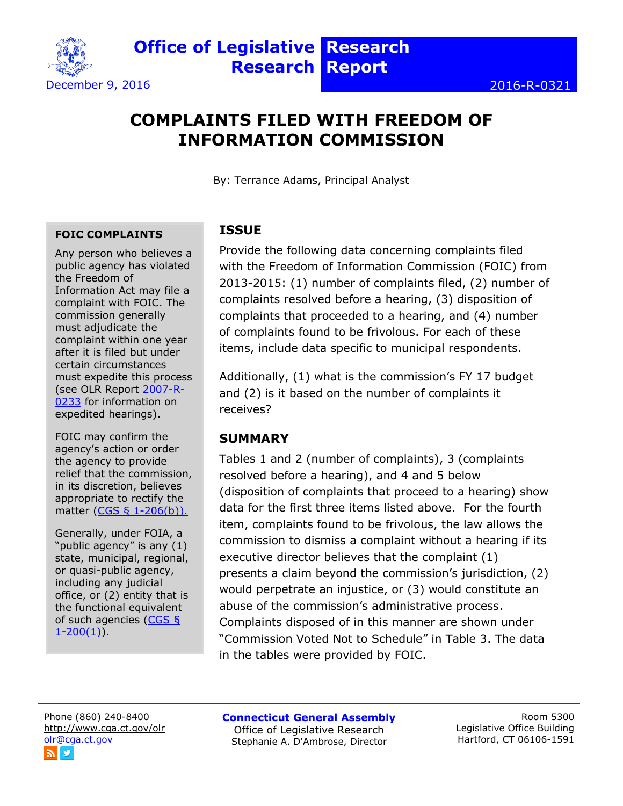

December 9, 2016 2016-R-0321

# **COMPLAINTS FILED WITH FREEDOM OF INFORMATION COMMISSION**

**Research Report**

**Office of Legislative Research** 

By: Terrance Adams, Principal Analyst

#### **FOIC COMPLAINTS**

Any person who believes a public agency has violated the Freedom of Information Act may file a complaint with FOIC. The commission generally must adjudicate the complaint within one year after it is filed but under certain circumstances must expedite this process (see OLR Report [2007-R-](https://www.cga.ct.gov/2007/rpt/2007-R-0233.htm)[0233](https://www.cga.ct.gov/2007/rpt/2007-R-0233.htm) for information on expedited hearings).

FOIC may confirm the agency's action or order the agency to provide relief that the commission, in its discretion, believes appropriate to rectify the matter [\(CGS § 1-206\(b\)\).](http://cga.ct.gov/current/pub/chap_014.htm#sec_1-206)

Generally, under FOIA, a "public agency" is any (1) state, municipal, regional, or quasi-public agency, including any judicial office, or (2) entity that is the functional equivalent of such agencies ( $CGS$  §  $1-200(1)$ .

#### **ISSUE**

Provide the following data concerning complaints filed with the Freedom of Information Commission (FOIC) from 2013-2015: (1) number of complaints filed, (2) number of complaints resolved before a hearing, (3) disposition of complaints that proceeded to a hearing, and (4) number of complaints found to be frivolous. For each of these items, include data specific to municipal respondents.

Additionally, (1) what is the commission's FY 17 budget and (2) is it based on the number of complaints it receives?

### **SUMMARY**

Tables 1 and 2 (number of complaints), 3 (complaints resolved before a hearing), and 4 and 5 below (disposition of complaints that proceed to a hearing) show data for the first three items listed above. For the fourth item, complaints found to be frivolous, the law allows the commission to dismiss a complaint without a hearing if its executive director believes that the complaint (1) presents a claim beyond the commission's jurisdiction, (2) would perpetrate an injustice, or (3) would constitute an abuse of the commission's administrative process. Complaints disposed of in this manner are shown under "Commission Voted Not to Schedule" in Table 3. The data in the tables were provided by FOIC.

Phone (860) 240-8400 <http://www.cga.ct.gov/olr> [olr@cga.ct.gov](mailto:olr@cga.ct.gov)

**Connecticut General Assembly** Office of Legislative Research Stephanie A. D'Ambrose, Director

Room 5300 Legislative Office Building Hartford, CT 06106-1591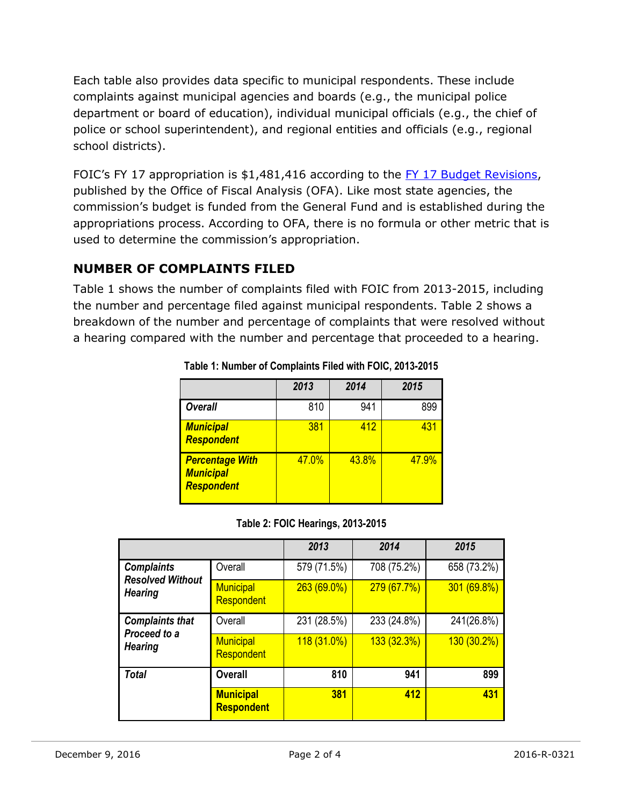Each table also provides data specific to municipal respondents. These include complaints against municipal agencies and boards (e.g., the municipal police department or board of education), individual municipal officials (e.g., the chief of police or school superintendent), and regional entities and officials (e.g., regional school districts).

FOIC's FY 17 appropriation is \$1,481,416 according to the [FY 17 Budget Revisions,](https://www.cga.ct.gov/ofa/Documents/year/BB/2017BB-20161101_FY%2017%20Connecticut%20Budget%20Revisions.pdf) published by the Office of Fiscal Analysis (OFA). Like most state agencies, the commission's budget is funded from the General Fund and is established during the appropriations process. According to OFA, there is no formula or other metric that is used to determine the commission's appropriation.

### **NUMBER OF COMPLAINTS FILED**

Table 1 shows the number of complaints filed with FOIC from 2013-2015, including the number and percentage filed against municipal respondents. Table 2 shows a breakdown of the number and percentage of complaints that were resolved without a hearing compared with the number and percentage that proceeded to a hearing.

|                                                                 | 2013  | 2014  | 2015  |
|-----------------------------------------------------------------|-------|-------|-------|
| <b>Overall</b>                                                  | 810   | 941   | 899   |
| <b>Municipal</b><br><b>Respondent</b>                           | 381   | 412   | 431   |
| <b>Percentage With</b><br><b>Municipal</b><br><b>Respondent</b> | 47.0% | 43.8% | 47.9% |

**Table 1: Number of Complaints Filed with FOIC, 2013-2015**

#### **Table 2: FOIC Hearings, 2013-2015**

|                                                                |                                | 2013          | 2014        | 2015          |
|----------------------------------------------------------------|--------------------------------|---------------|-------------|---------------|
| <b>Complaints</b><br><b>Resolved Without</b><br><b>Hearing</b> | Overall                        | 579 (71.5%)   | 708 (75.2%) | 658 (73.2%)   |
|                                                                | <b>Municipal</b><br>Respondent | 263 (69.0%)   | 279(67.7%)  | 301 (69.8%)   |
| <b>Complaints that</b><br>Proceed to a<br><b>Hearing</b>       | Overall                        | 231 (28.5%)   | 233 (24.8%) | 241(26.8%)    |
|                                                                | <b>Municipal</b><br>Respondent | $118(31.0\%)$ | 133(32.3%)  | $130(30.2\%)$ |
| <b>Total</b>                                                   | <b>Overall</b>                 | 810           | 941         | 899           |
|                                                                | <b>Municipal</b><br>Respondent | 381           | 412         | 431           |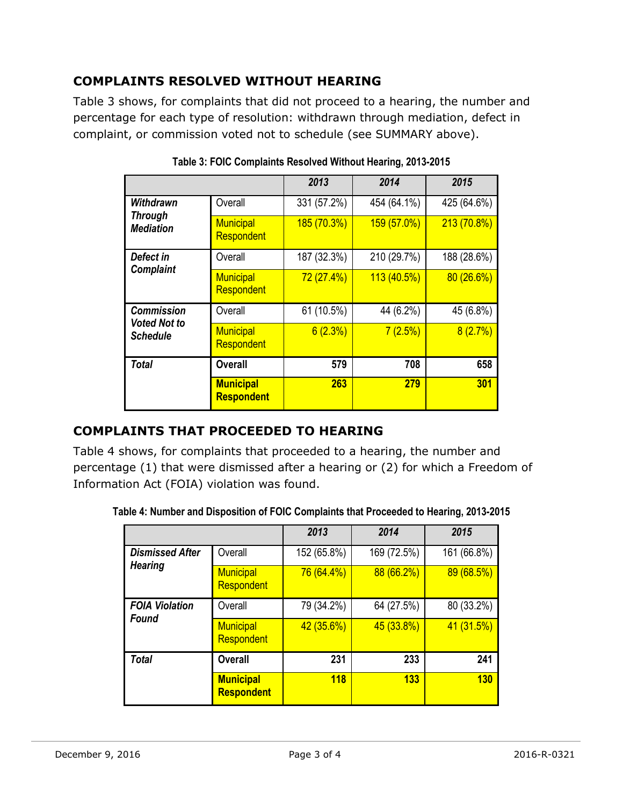## **COMPLAINTS RESOLVED WITHOUT HEARING**

Table 3 shows, for complaints that did not proceed to a hearing, the number and percentage for each type of resolution: withdrawn through mediation, defect in complaint, or commission voted not to schedule (see SUMMARY above).

|                                                             |                                       | 2013        | 2014        | 2015        |
|-------------------------------------------------------------|---------------------------------------|-------------|-------------|-------------|
| Withdrawn<br><b>Through</b><br><b>Mediation</b>             | Overall                               | 331 (57.2%) | 454 (64.1%) | 425 (64.6%) |
|                                                             | <b>Municipal</b><br>Respondent        | 185 (70.3%) | 159 (57.0%) | 213 (70.8%) |
| Defect in<br><b>Complaint</b>                               | Overall                               | 187 (32.3%) | 210 (29.7%) | 188 (28.6%) |
|                                                             | <b>Municipal</b><br>Respondent        | 72 (27.4%)  | 113 (40.5%) | 80(26.6%)   |
| <b>Commission</b><br><b>Voted Not to</b><br><b>Schedule</b> | Overall                               | 61 (10.5%)  | 44 (6.2%)   | 45 (6.8%)   |
|                                                             | <b>Municipal</b><br>Respondent        | 6(2.3%)     | 7(2.5%)     | 8(2.7%)     |
| Total                                                       | <b>Overall</b>                        | 579         | 708         | 658         |
|                                                             | <b>Municipal</b><br><b>Respondent</b> | 263         | 279         | 301         |

**Table 3: FOIC Complaints Resolved Without Hearing, 2013-2015**

### **COMPLAINTS THAT PROCEEDED TO HEARING**

Table 4 shows, for complaints that proceeded to a hearing, the number and percentage (1) that were dismissed after a hearing or (2) for which a Freedom of Information Act (FOIA) violation was found.

|                                          |                                       | 2013        | 2014        | 2015        |
|------------------------------------------|---------------------------------------|-------------|-------------|-------------|
| <b>Dismissed After</b><br><b>Hearing</b> | Overall                               | 152 (65.8%) | 169 (72.5%) | 161 (66.8%) |
|                                          | <b>Municipal</b><br>Respondent        | 76 (64.4%)  | 88 (66.2%)  | 89(68.5%)   |
| <b>FOIA Violation</b><br><b>Found</b>    | Overall                               | 79 (34.2%)  | 64 (27.5%)  | 80 (33.2%)  |
|                                          | <b>Municipal</b><br>Respondent        | 42(35.6%)   | 45 (33.8%)  | 41 (31.5%)  |
| <b>Total</b>                             | <b>Overall</b>                        | 231         | 233         | 241         |
|                                          | <b>Municipal</b><br><b>Respondent</b> | <b>118</b>  | 133         | 130         |